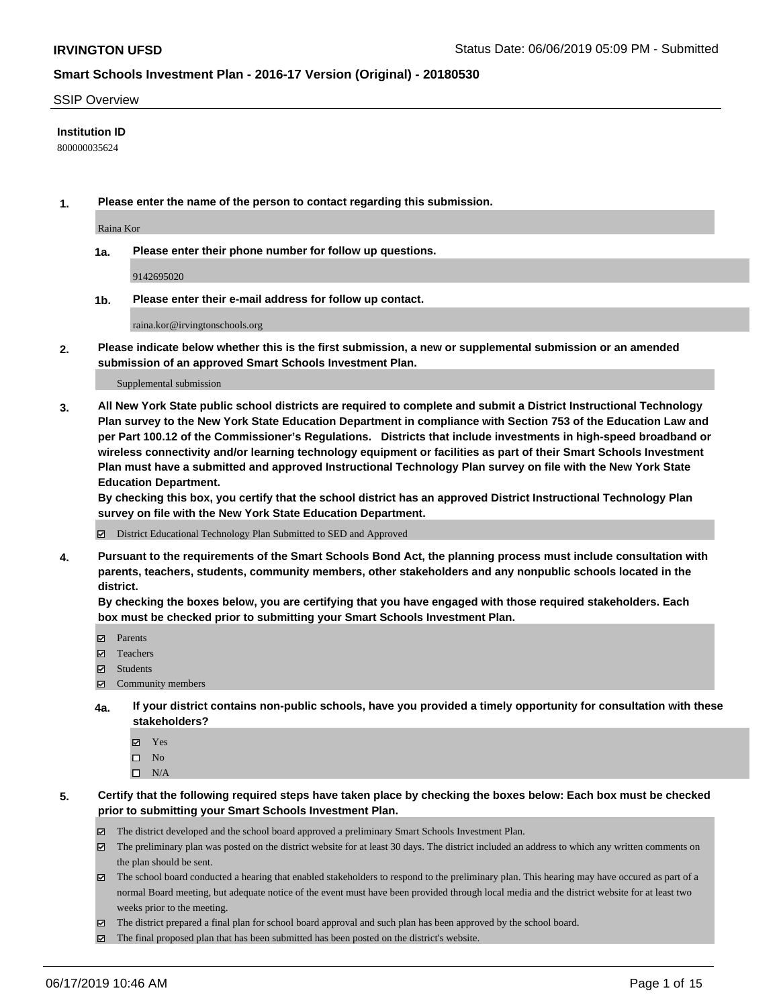#### SSIP Overview

#### **Institution ID**

800000035624

**1. Please enter the name of the person to contact regarding this submission.**

Raina Kor

**1a. Please enter their phone number for follow up questions.**

9142695020

**1b. Please enter their e-mail address for follow up contact.**

raina.kor@irvingtonschools.org

**2. Please indicate below whether this is the first submission, a new or supplemental submission or an amended submission of an approved Smart Schools Investment Plan.**

#### Supplemental submission

**3. All New York State public school districts are required to complete and submit a District Instructional Technology Plan survey to the New York State Education Department in compliance with Section 753 of the Education Law and per Part 100.12 of the Commissioner's Regulations. Districts that include investments in high-speed broadband or wireless connectivity and/or learning technology equipment or facilities as part of their Smart Schools Investment Plan must have a submitted and approved Instructional Technology Plan survey on file with the New York State Education Department.** 

**By checking this box, you certify that the school district has an approved District Instructional Technology Plan survey on file with the New York State Education Department.**

District Educational Technology Plan Submitted to SED and Approved

**4. Pursuant to the requirements of the Smart Schools Bond Act, the planning process must include consultation with parents, teachers, students, community members, other stakeholders and any nonpublic schools located in the district.** 

**By checking the boxes below, you are certifying that you have engaged with those required stakeholders. Each box must be checked prior to submitting your Smart Schools Investment Plan.**

- Parents
- Teachers
- Students
- Community members
- **4a. If your district contains non-public schools, have you provided a timely opportunity for consultation with these stakeholders?**
	- Yes
	- $\square$  No
	- $\square$  N/A
- **5. Certify that the following required steps have taken place by checking the boxes below: Each box must be checked prior to submitting your Smart Schools Investment Plan.**
	- The district developed and the school board approved a preliminary Smart Schools Investment Plan.
	- $\boxtimes$  The preliminary plan was posted on the district website for at least 30 days. The district included an address to which any written comments on the plan should be sent.
	- $\boxtimes$  The school board conducted a hearing that enabled stakeholders to respond to the preliminary plan. This hearing may have occured as part of a normal Board meeting, but adequate notice of the event must have been provided through local media and the district website for at least two weeks prior to the meeting.
	- The district prepared a final plan for school board approval and such plan has been approved by the school board.
	- $\boxtimes$  The final proposed plan that has been submitted has been posted on the district's website.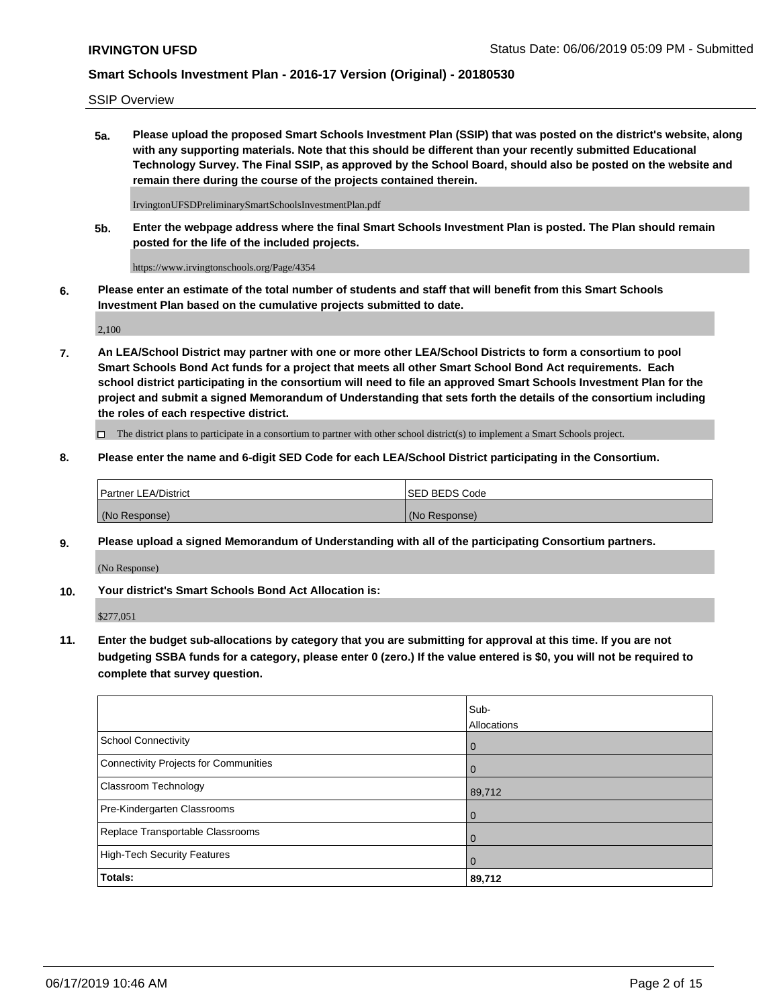SSIP Overview

**5a. Please upload the proposed Smart Schools Investment Plan (SSIP) that was posted on the district's website, along with any supporting materials. Note that this should be different than your recently submitted Educational Technology Survey. The Final SSIP, as approved by the School Board, should also be posted on the website and remain there during the course of the projects contained therein.**

IrvingtonUFSDPreliminarySmartSchoolsInvestmentPlan.pdf

**5b. Enter the webpage address where the final Smart Schools Investment Plan is posted. The Plan should remain posted for the life of the included projects.**

https://www.irvingtonschools.org/Page/4354

**6. Please enter an estimate of the total number of students and staff that will benefit from this Smart Schools Investment Plan based on the cumulative projects submitted to date.**

2,100

**7. An LEA/School District may partner with one or more other LEA/School Districts to form a consortium to pool Smart Schools Bond Act funds for a project that meets all other Smart School Bond Act requirements. Each school district participating in the consortium will need to file an approved Smart Schools Investment Plan for the project and submit a signed Memorandum of Understanding that sets forth the details of the consortium including the roles of each respective district.**

 $\Box$  The district plans to participate in a consortium to partner with other school district(s) to implement a Smart Schools project.

#### **8. Please enter the name and 6-digit SED Code for each LEA/School District participating in the Consortium.**

| Partner LEA/District | <b>ISED BEDS Code</b> |
|----------------------|-----------------------|
| (No Response)        | (No Response)         |

#### **9. Please upload a signed Memorandum of Understanding with all of the participating Consortium partners.**

(No Response)

**10. Your district's Smart Schools Bond Act Allocation is:**

\$277,051

**11. Enter the budget sub-allocations by category that you are submitting for approval at this time. If you are not budgeting SSBA funds for a category, please enter 0 (zero.) If the value entered is \$0, you will not be required to complete that survey question.**

|                                       | Sub-<br><b>Allocations</b> |
|---------------------------------------|----------------------------|
| School Connectivity                   | l 0                        |
| Connectivity Projects for Communities | $\Omega$                   |
| <b>Classroom Technology</b>           | 89,712                     |
| Pre-Kindergarten Classrooms           | $\overline{0}$             |
| Replace Transportable Classrooms      | $\Omega$                   |
| High-Tech Security Features           | $\overline{0}$             |
| Totals:                               | 89,712                     |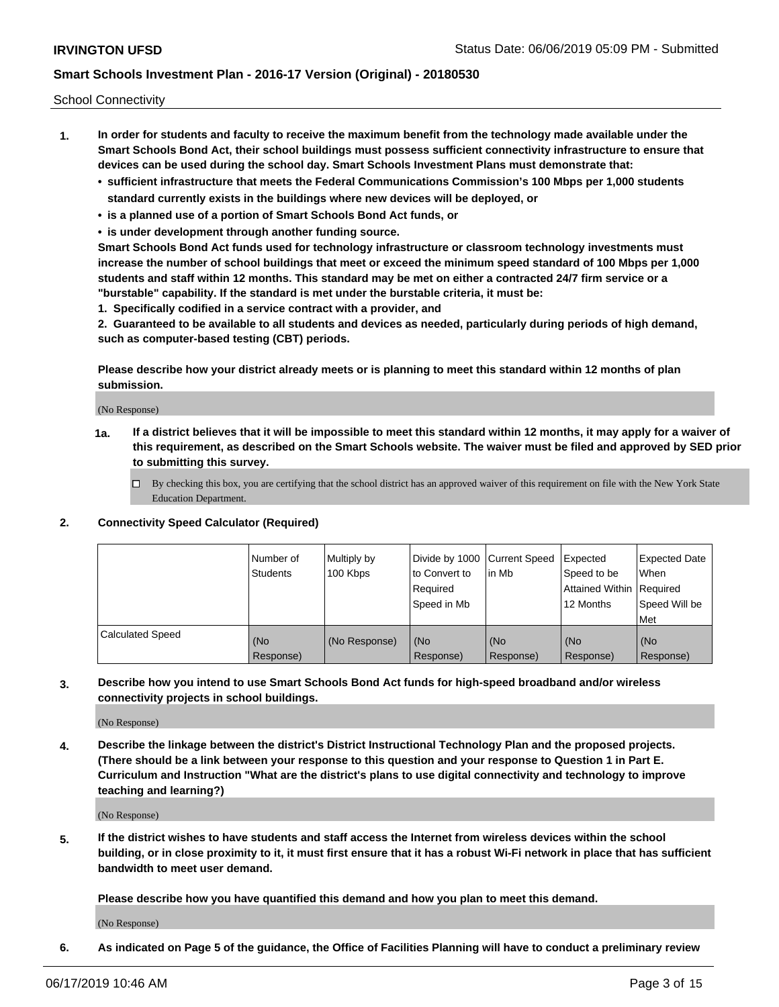School Connectivity

- **1. In order for students and faculty to receive the maximum benefit from the technology made available under the Smart Schools Bond Act, their school buildings must possess sufficient connectivity infrastructure to ensure that devices can be used during the school day. Smart Schools Investment Plans must demonstrate that:**
	- **• sufficient infrastructure that meets the Federal Communications Commission's 100 Mbps per 1,000 students standard currently exists in the buildings where new devices will be deployed, or**
	- **• is a planned use of a portion of Smart Schools Bond Act funds, or**
	- **• is under development through another funding source.**

**Smart Schools Bond Act funds used for technology infrastructure or classroom technology investments must increase the number of school buildings that meet or exceed the minimum speed standard of 100 Mbps per 1,000 students and staff within 12 months. This standard may be met on either a contracted 24/7 firm service or a "burstable" capability. If the standard is met under the burstable criteria, it must be:**

**1. Specifically codified in a service contract with a provider, and**

**2. Guaranteed to be available to all students and devices as needed, particularly during periods of high demand, such as computer-based testing (CBT) periods.**

**Please describe how your district already meets or is planning to meet this standard within 12 months of plan submission.**

(No Response)

**1a. If a district believes that it will be impossible to meet this standard within 12 months, it may apply for a waiver of this requirement, as described on the Smart Schools website. The waiver must be filed and approved by SED prior to submitting this survey.**

 $\Box$  By checking this box, you are certifying that the school district has an approved waiver of this requirement on file with the New York State Education Department.

#### **2. Connectivity Speed Calculator (Required)**

|                         | Number of<br>Students | Multiply by<br>100 Kbps | Divide by 1000 Current Speed<br>to Convert to<br>Required<br>Speed in Mb | lin Mb           | Expected<br>Speed to be<br>Attained Within   Required<br>12 Months | <b>Expected Date</b><br>When<br>Speed Will be<br><b>Met</b> |
|-------------------------|-----------------------|-------------------------|--------------------------------------------------------------------------|------------------|--------------------------------------------------------------------|-------------------------------------------------------------|
| <b>Calculated Speed</b> | (No<br>Response)      | (No Response)           | (No<br>Response)                                                         | (No<br>Response) | (No<br>Response)                                                   | (No<br>Response)                                            |

**3. Describe how you intend to use Smart Schools Bond Act funds for high-speed broadband and/or wireless connectivity projects in school buildings.**

(No Response)

**4. Describe the linkage between the district's District Instructional Technology Plan and the proposed projects. (There should be a link between your response to this question and your response to Question 1 in Part E. Curriculum and Instruction "What are the district's plans to use digital connectivity and technology to improve teaching and learning?)**

(No Response)

**5. If the district wishes to have students and staff access the Internet from wireless devices within the school building, or in close proximity to it, it must first ensure that it has a robust Wi-Fi network in place that has sufficient bandwidth to meet user demand.**

**Please describe how you have quantified this demand and how you plan to meet this demand.**

(No Response)

**6. As indicated on Page 5 of the guidance, the Office of Facilities Planning will have to conduct a preliminary review**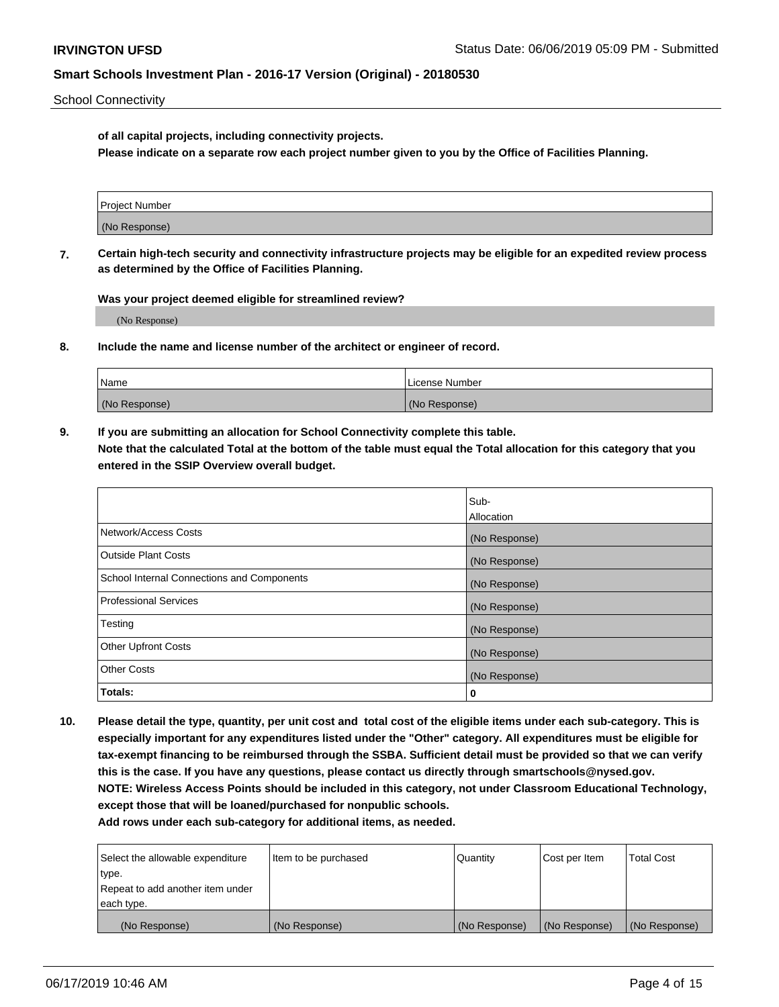School Connectivity

**of all capital projects, including connectivity projects.**

**Please indicate on a separate row each project number given to you by the Office of Facilities Planning.**

| Project Number |  |
|----------------|--|
|                |  |
|                |  |
|                |  |
| (No Response)  |  |
|                |  |
|                |  |
|                |  |

**7. Certain high-tech security and connectivity infrastructure projects may be eligible for an expedited review process as determined by the Office of Facilities Planning.**

**Was your project deemed eligible for streamlined review?**

(No Response)

**8. Include the name and license number of the architect or engineer of record.**

| Name          | License Number |
|---------------|----------------|
| (No Response) | (No Response)  |

**9. If you are submitting an allocation for School Connectivity complete this table. Note that the calculated Total at the bottom of the table must equal the Total allocation for this category that you entered in the SSIP Overview overall budget.** 

|                                            | Sub-          |
|--------------------------------------------|---------------|
|                                            | Allocation    |
| Network/Access Costs                       | (No Response) |
| <b>Outside Plant Costs</b>                 | (No Response) |
| School Internal Connections and Components | (No Response) |
| <b>Professional Services</b>               | (No Response) |
| Testing                                    | (No Response) |
| <b>Other Upfront Costs</b>                 | (No Response) |
| <b>Other Costs</b>                         | (No Response) |
| Totals:                                    | 0             |

**10. Please detail the type, quantity, per unit cost and total cost of the eligible items under each sub-category. This is especially important for any expenditures listed under the "Other" category. All expenditures must be eligible for tax-exempt financing to be reimbursed through the SSBA. Sufficient detail must be provided so that we can verify this is the case. If you have any questions, please contact us directly through smartschools@nysed.gov. NOTE: Wireless Access Points should be included in this category, not under Classroom Educational Technology, except those that will be loaned/purchased for nonpublic schools.**

| Select the allowable expenditure | Item to be purchased | Quantity      | Cost per Item | <b>Total Cost</b> |
|----------------------------------|----------------------|---------------|---------------|-------------------|
| type.                            |                      |               |               |                   |
| Repeat to add another item under |                      |               |               |                   |
| each type.                       |                      |               |               |                   |
| (No Response)                    | (No Response)        | (No Response) | (No Response) | (No Response)     |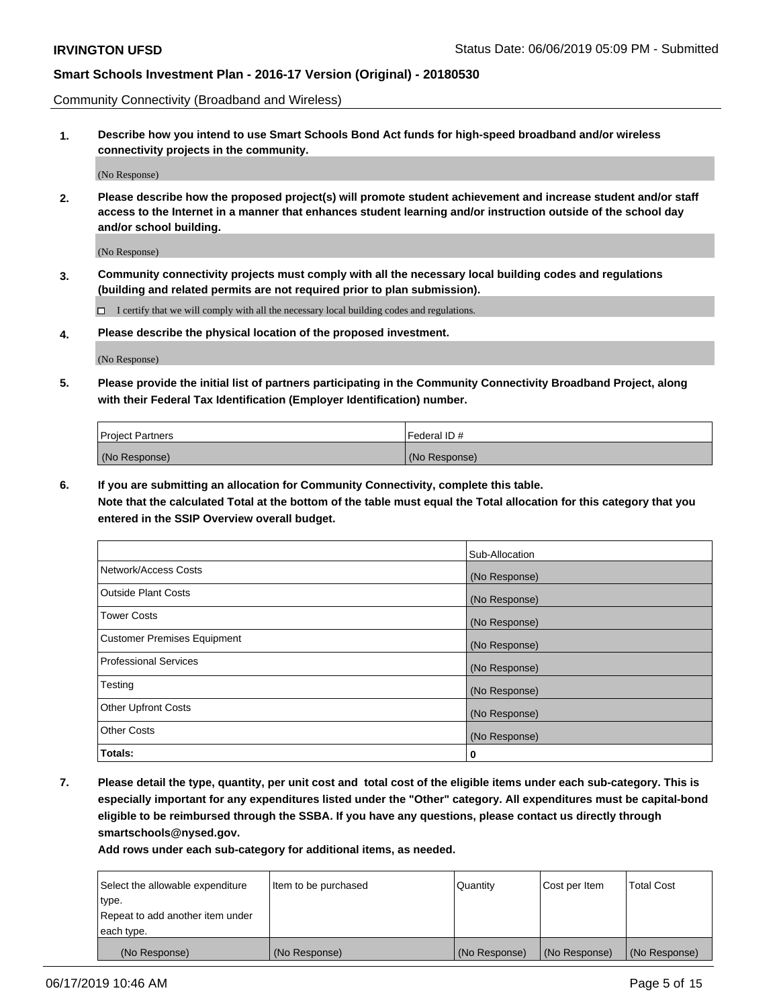Community Connectivity (Broadband and Wireless)

**1. Describe how you intend to use Smart Schools Bond Act funds for high-speed broadband and/or wireless connectivity projects in the community.**

(No Response)

**2. Please describe how the proposed project(s) will promote student achievement and increase student and/or staff access to the Internet in a manner that enhances student learning and/or instruction outside of the school day and/or school building.**

(No Response)

**3. Community connectivity projects must comply with all the necessary local building codes and regulations (building and related permits are not required prior to plan submission).**

 $\Box$  I certify that we will comply with all the necessary local building codes and regulations.

**4. Please describe the physical location of the proposed investment.**

(No Response)

**5. Please provide the initial list of partners participating in the Community Connectivity Broadband Project, along with their Federal Tax Identification (Employer Identification) number.**

| <b>Project Partners</b> | Federal ID#   |
|-------------------------|---------------|
| (No Response)           | (No Response) |

**6. If you are submitting an allocation for Community Connectivity, complete this table.**

**Note that the calculated Total at the bottom of the table must equal the Total allocation for this category that you entered in the SSIP Overview overall budget.**

|                                    | Sub-Allocation |
|------------------------------------|----------------|
| Network/Access Costs               | (No Response)  |
| <b>Outside Plant Costs</b>         | (No Response)  |
| <b>Tower Costs</b>                 | (No Response)  |
| <b>Customer Premises Equipment</b> | (No Response)  |
| <b>Professional Services</b>       | (No Response)  |
| Testing                            | (No Response)  |
| <b>Other Upfront Costs</b>         | (No Response)  |
| <b>Other Costs</b>                 | (No Response)  |
| Totals:                            | 0              |

**7. Please detail the type, quantity, per unit cost and total cost of the eligible items under each sub-category. This is especially important for any expenditures listed under the "Other" category. All expenditures must be capital-bond eligible to be reimbursed through the SSBA. If you have any questions, please contact us directly through smartschools@nysed.gov.**

| Select the allowable expenditure | Item to be purchased | Quantity      | Cost per Item | <b>Total Cost</b> |
|----------------------------------|----------------------|---------------|---------------|-------------------|
| type.                            |                      |               |               |                   |
| Repeat to add another item under |                      |               |               |                   |
| each type.                       |                      |               |               |                   |
| (No Response)                    | (No Response)        | (No Response) | (No Response) | (No Response)     |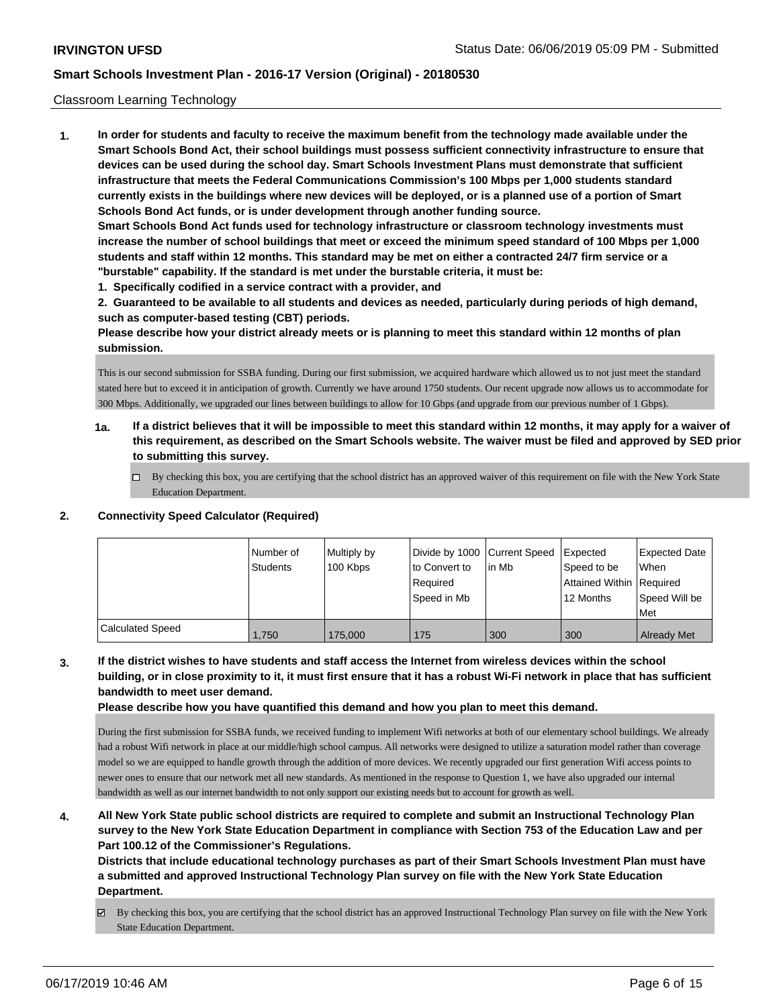#### Classroom Learning Technology

**1. In order for students and faculty to receive the maximum benefit from the technology made available under the Smart Schools Bond Act, their school buildings must possess sufficient connectivity infrastructure to ensure that devices can be used during the school day. Smart Schools Investment Plans must demonstrate that sufficient infrastructure that meets the Federal Communications Commission's 100 Mbps per 1,000 students standard currently exists in the buildings where new devices will be deployed, or is a planned use of a portion of Smart Schools Bond Act funds, or is under development through another funding source. Smart Schools Bond Act funds used for technology infrastructure or classroom technology investments must increase the number of school buildings that meet or exceed the minimum speed standard of 100 Mbps per 1,000 students and staff within 12 months. This standard may be met on either a contracted 24/7 firm service or a "burstable" capability. If the standard is met under the burstable criteria, it must be:**

**1. Specifically codified in a service contract with a provider, and**

**2. Guaranteed to be available to all students and devices as needed, particularly during periods of high demand, such as computer-based testing (CBT) periods.**

**Please describe how your district already meets or is planning to meet this standard within 12 months of plan submission.**

This is our second submission for SSBA funding. During our first submission, we acquired hardware which allowed us to not just meet the standard stated here but to exceed it in anticipation of growth. Currently we have around 1750 students. Our recent upgrade now allows us to accommodate for 300 Mbps. Additionally, we upgraded our lines between buildings to allow for 10 Gbps (and upgrade from our previous number of 1 Gbps).

- **1a. If a district believes that it will be impossible to meet this standard within 12 months, it may apply for a waiver of this requirement, as described on the Smart Schools website. The waiver must be filed and approved by SED prior to submitting this survey.**
	- $\Box$  By checking this box, you are certifying that the school district has an approved waiver of this requirement on file with the New York State Education Department.

#### **2. Connectivity Speed Calculator (Required)**

|                  | Number of<br><b>Students</b> | Multiply by<br>100 Kbps | Divide by 1000 Current Speed<br>to Convert to<br>Required<br>Speed in Mb | lin Mb | <b>I</b> Expected<br>Speed to be<br>Attained Within   Required<br>12 Months | <b>Expected Date</b><br><b>When</b><br>Speed Will be<br>Met |
|------------------|------------------------------|-------------------------|--------------------------------------------------------------------------|--------|-----------------------------------------------------------------------------|-------------------------------------------------------------|
| Calculated Speed | 1.750                        | 175,000                 | 175                                                                      | 300    | 300                                                                         | <b>Already Met</b>                                          |

**3. If the district wishes to have students and staff access the Internet from wireless devices within the school building, or in close proximity to it, it must first ensure that it has a robust Wi-Fi network in place that has sufficient bandwidth to meet user demand.**

**Please describe how you have quantified this demand and how you plan to meet this demand.**

During the first submission for SSBA funds, we received funding to implement Wifi networks at both of our elementary school buildings. We already had a robust Wifi network in place at our middle/high school campus. All networks were designed to utilize a saturation model rather than coverage model so we are equipped to handle growth through the addition of more devices. We recently upgraded our first generation Wifi access points to newer ones to ensure that our network met all new standards. As mentioned in the response to Question 1, we have also upgraded our internal bandwidth as well as our internet bandwidth to not only support our existing needs but to account for growth as well.

**4. All New York State public school districts are required to complete and submit an Instructional Technology Plan survey to the New York State Education Department in compliance with Section 753 of the Education Law and per Part 100.12 of the Commissioner's Regulations.**

**Districts that include educational technology purchases as part of their Smart Schools Investment Plan must have a submitted and approved Instructional Technology Plan survey on file with the New York State Education Department.**

By checking this box, you are certifying that the school district has an approved Instructional Technology Plan survey on file with the New York State Education Department.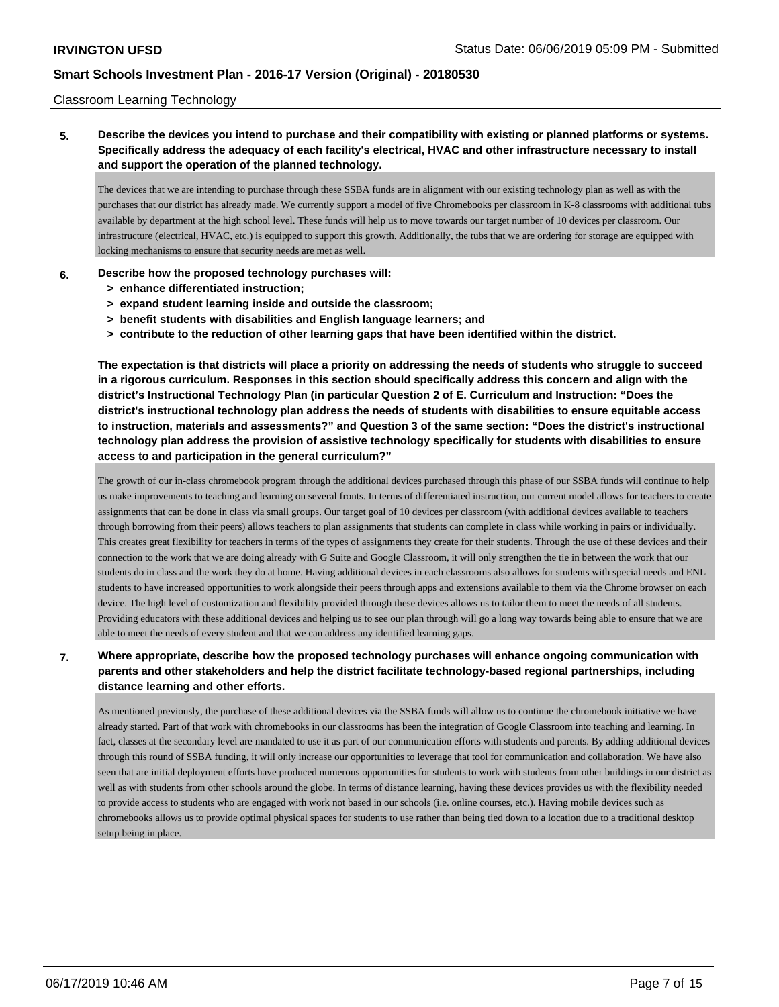#### Classroom Learning Technology

**5. Describe the devices you intend to purchase and their compatibility with existing or planned platforms or systems. Specifically address the adequacy of each facility's electrical, HVAC and other infrastructure necessary to install and support the operation of the planned technology.**

The devices that we are intending to purchase through these SSBA funds are in alignment with our existing technology plan as well as with the purchases that our district has already made. We currently support a model of five Chromebooks per classroom in K-8 classrooms with additional tubs available by department at the high school level. These funds will help us to move towards our target number of 10 devices per classroom. Our infrastructure (electrical, HVAC, etc.) is equipped to support this growth. Additionally, the tubs that we are ordering for storage are equipped with locking mechanisms to ensure that security needs are met as well.

#### **6. Describe how the proposed technology purchases will:**

- **> enhance differentiated instruction;**
- **> expand student learning inside and outside the classroom;**
- **> benefit students with disabilities and English language learners; and**
- **> contribute to the reduction of other learning gaps that have been identified within the district.**

**The expectation is that districts will place a priority on addressing the needs of students who struggle to succeed in a rigorous curriculum. Responses in this section should specifically address this concern and align with the district's Instructional Technology Plan (in particular Question 2 of E. Curriculum and Instruction: "Does the district's instructional technology plan address the needs of students with disabilities to ensure equitable access to instruction, materials and assessments?" and Question 3 of the same section: "Does the district's instructional technology plan address the provision of assistive technology specifically for students with disabilities to ensure access to and participation in the general curriculum?"**

The growth of our in-class chromebook program through the additional devices purchased through this phase of our SSBA funds will continue to help us make improvements to teaching and learning on several fronts. In terms of differentiated instruction, our current model allows for teachers to create assignments that can be done in class via small groups. Our target goal of 10 devices per classroom (with additional devices available to teachers through borrowing from their peers) allows teachers to plan assignments that students can complete in class while working in pairs or individually. This creates great flexibility for teachers in terms of the types of assignments they create for their students. Through the use of these devices and their connection to the work that we are doing already with G Suite and Google Classroom, it will only strengthen the tie in between the work that our students do in class and the work they do at home. Having additional devices in each classrooms also allows for students with special needs and ENL students to have increased opportunities to work alongside their peers through apps and extensions available to them via the Chrome browser on each device. The high level of customization and flexibility provided through these devices allows us to tailor them to meet the needs of all students. Providing educators with these additional devices and helping us to see our plan through will go a long way towards being able to ensure that we are able to meet the needs of every student and that we can address any identified learning gaps.

### **7. Where appropriate, describe how the proposed technology purchases will enhance ongoing communication with parents and other stakeholders and help the district facilitate technology-based regional partnerships, including distance learning and other efforts.**

As mentioned previously, the purchase of these additional devices via the SSBA funds will allow us to continue the chromebook initiative we have already started. Part of that work with chromebooks in our classrooms has been the integration of Google Classroom into teaching and learning. In fact, classes at the secondary level are mandated to use it as part of our communication efforts with students and parents. By adding additional devices through this round of SSBA funding, it will only increase our opportunities to leverage that tool for communication and collaboration. We have also seen that are initial deployment efforts have produced numerous opportunities for students to work with students from other buildings in our district as well as with students from other schools around the globe. In terms of distance learning, having these devices provides us with the flexibility needed to provide access to students who are engaged with work not based in our schools (i.e. online courses, etc.). Having mobile devices such as chromebooks allows us to provide optimal physical spaces for students to use rather than being tied down to a location due to a traditional desktop setup being in place.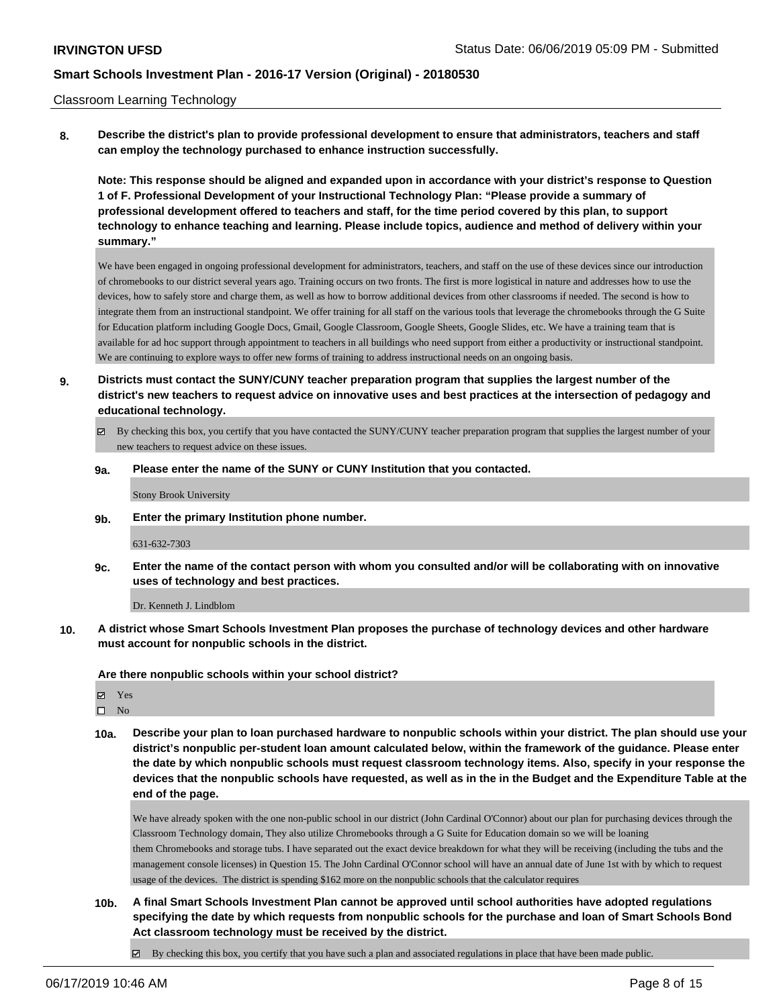#### Classroom Learning Technology

**8. Describe the district's plan to provide professional development to ensure that administrators, teachers and staff can employ the technology purchased to enhance instruction successfully.**

**Note: This response should be aligned and expanded upon in accordance with your district's response to Question 1 of F. Professional Development of your Instructional Technology Plan: "Please provide a summary of professional development offered to teachers and staff, for the time period covered by this plan, to support technology to enhance teaching and learning. Please include topics, audience and method of delivery within your summary."**

We have been engaged in ongoing professional development for administrators, teachers, and staff on the use of these devices since our introduction of chromebooks to our district several years ago. Training occurs on two fronts. The first is more logistical in nature and addresses how to use the devices, how to safely store and charge them, as well as how to borrow additional devices from other classrooms if needed. The second is how to integrate them from an instructional standpoint. We offer training for all staff on the various tools that leverage the chromebooks through the G Suite for Education platform including Google Docs, Gmail, Google Classroom, Google Sheets, Google Slides, etc. We have a training team that is available for ad hoc support through appointment to teachers in all buildings who need support from either a productivity or instructional standpoint. We are continuing to explore ways to offer new forms of training to address instructional needs on an ongoing basis.

- **9. Districts must contact the SUNY/CUNY teacher preparation program that supplies the largest number of the district's new teachers to request advice on innovative uses and best practices at the intersection of pedagogy and educational technology.**
	- By checking this box, you certify that you have contacted the SUNY/CUNY teacher preparation program that supplies the largest number of your new teachers to request advice on these issues.

#### **9a. Please enter the name of the SUNY or CUNY Institution that you contacted.**

Stony Brook University

**9b. Enter the primary Institution phone number.**

#### 631-632-7303

**9c. Enter the name of the contact person with whom you consulted and/or will be collaborating with on innovative uses of technology and best practices.**

Dr. Kenneth J. Lindblom

**10. A district whose Smart Schools Investment Plan proposes the purchase of technology devices and other hardware must account for nonpublic schools in the district.**

**Are there nonpublic schools within your school district?**

Yes

 $\square$  No

**10a. Describe your plan to loan purchased hardware to nonpublic schools within your district. The plan should use your district's nonpublic per-student loan amount calculated below, within the framework of the guidance. Please enter the date by which nonpublic schools must request classroom technology items. Also, specify in your response the devices that the nonpublic schools have requested, as well as in the in the Budget and the Expenditure Table at the end of the page.**

We have already spoken with the one non-public school in our district (John Cardinal O'Connor) about our plan for purchasing devices through the Classroom Technology domain, They also utilize Chromebooks through a G Suite for Education domain so we will be loaning them Chromebooks and storage tubs. I have separated out the exact device breakdown for what they will be receiving (including the tubs and the management console licenses) in Question 15. The John Cardinal O'Connor school will have an annual date of June 1st with by which to request usage of the devices. The district is spending \$162 more on the nonpublic schools that the calculator requires

**10b. A final Smart Schools Investment Plan cannot be approved until school authorities have adopted regulations specifying the date by which requests from nonpublic schools for the purchase and loan of Smart Schools Bond Act classroom technology must be received by the district.**

 $\blacksquare$ By checking this box, you certify that you have such a plan and associated regulations in place that have been made public.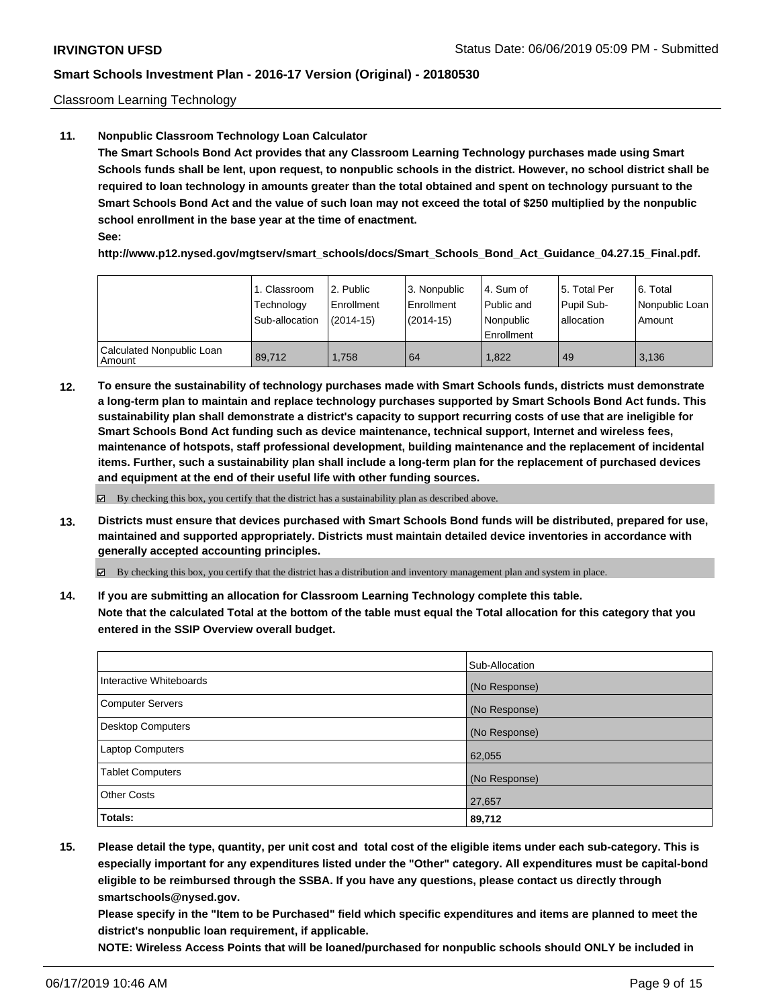Classroom Learning Technology

#### **11. Nonpublic Classroom Technology Loan Calculator**

**The Smart Schools Bond Act provides that any Classroom Learning Technology purchases made using Smart Schools funds shall be lent, upon request, to nonpublic schools in the district. However, no school district shall be required to loan technology in amounts greater than the total obtained and spent on technology pursuant to the Smart Schools Bond Act and the value of such loan may not exceed the total of \$250 multiplied by the nonpublic school enrollment in the base year at the time of enactment. See:**

**http://www.p12.nysed.gov/mgtserv/smart\_schools/docs/Smart\_Schools\_Bond\_Act\_Guidance\_04.27.15\_Final.pdf.**

|                                     | 1. Classroom<br>Technology<br>Sub-allocation | l 2. Public<br>Enrollment<br>$(2014-15)$ | 3. Nonpublic<br>l Enrollment<br>$(2014-15)$ | l 4. Sum of<br>Public and<br>Nonpublic<br>Enrollment | l 5. Total Per<br>Pupil Sub-<br>l allocation | 6. Total<br>Nonpublic Loan<br>Amount |
|-------------------------------------|----------------------------------------------|------------------------------------------|---------------------------------------------|------------------------------------------------------|----------------------------------------------|--------------------------------------|
| Calculated Nonpublic Loan<br>Amount | 89.712                                       | 1.758                                    | 64                                          | 1.822                                                | 49                                           | 3.136                                |

**12. To ensure the sustainability of technology purchases made with Smart Schools funds, districts must demonstrate a long-term plan to maintain and replace technology purchases supported by Smart Schools Bond Act funds. This sustainability plan shall demonstrate a district's capacity to support recurring costs of use that are ineligible for Smart Schools Bond Act funding such as device maintenance, technical support, Internet and wireless fees, maintenance of hotspots, staff professional development, building maintenance and the replacement of incidental items. Further, such a sustainability plan shall include a long-term plan for the replacement of purchased devices and equipment at the end of their useful life with other funding sources.**

 $\boxtimes$  By checking this box, you certify that the district has a sustainability plan as described above.

**13. Districts must ensure that devices purchased with Smart Schools Bond funds will be distributed, prepared for use, maintained and supported appropriately. Districts must maintain detailed device inventories in accordance with generally accepted accounting principles.**

By checking this box, you certify that the district has a distribution and inventory management plan and system in place.

**14. If you are submitting an allocation for Classroom Learning Technology complete this table. Note that the calculated Total at the bottom of the table must equal the Total allocation for this category that you entered in the SSIP Overview overall budget.**

|                          | Sub-Allocation |
|--------------------------|----------------|
| Interactive Whiteboards  | (No Response)  |
| <b>Computer Servers</b>  | (No Response)  |
| <b>Desktop Computers</b> | (No Response)  |
| <b>Laptop Computers</b>  | 62,055         |
| <b>Tablet Computers</b>  | (No Response)  |
| <b>Other Costs</b>       | 27,657         |
| Totals:                  | 89,712         |

**15. Please detail the type, quantity, per unit cost and total cost of the eligible items under each sub-category. This is especially important for any expenditures listed under the "Other" category. All expenditures must be capital-bond eligible to be reimbursed through the SSBA. If you have any questions, please contact us directly through smartschools@nysed.gov.**

**Please specify in the "Item to be Purchased" field which specific expenditures and items are planned to meet the district's nonpublic loan requirement, if applicable.**

**NOTE: Wireless Access Points that will be loaned/purchased for nonpublic schools should ONLY be included in**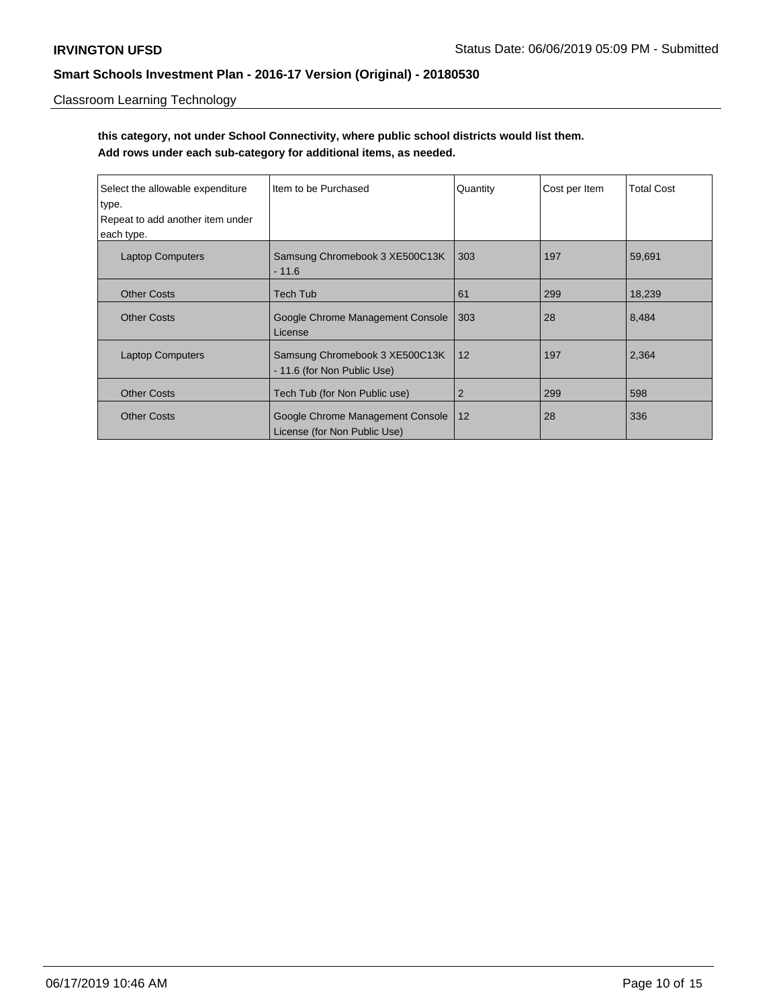## Classroom Learning Technology

# **this category, not under School Connectivity, where public school districts would list them. Add rows under each sub-category for additional items, as needed.**

| Select the allowable expenditure<br>type.<br>Repeat to add another item under<br>each type. | Item to be Purchased                                             | Quantity       | Cost per Item | <b>Total Cost</b> |
|---------------------------------------------------------------------------------------------|------------------------------------------------------------------|----------------|---------------|-------------------|
| <b>Laptop Computers</b>                                                                     | Samsung Chromebook 3 XE500C13K<br>$-11.6$                        | 303            | 197           | 59,691            |
| <b>Other Costs</b>                                                                          | <b>Tech Tub</b>                                                  | 61             | 299           | 18,239            |
| <b>Other Costs</b>                                                                          | Google Chrome Management Console<br>License                      | 303            | 28            | 8,484             |
| <b>Laptop Computers</b>                                                                     | Samsung Chromebook 3 XE500C13K<br>- 11.6 (for Non Public Use)    | 12             | 197           | 2,364             |
| <b>Other Costs</b>                                                                          | Tech Tub (for Non Public use)                                    | $\overline{2}$ | 299           | 598               |
| <b>Other Costs</b>                                                                          | Google Chrome Management Console<br>License (for Non Public Use) | 12             | 28            | 336               |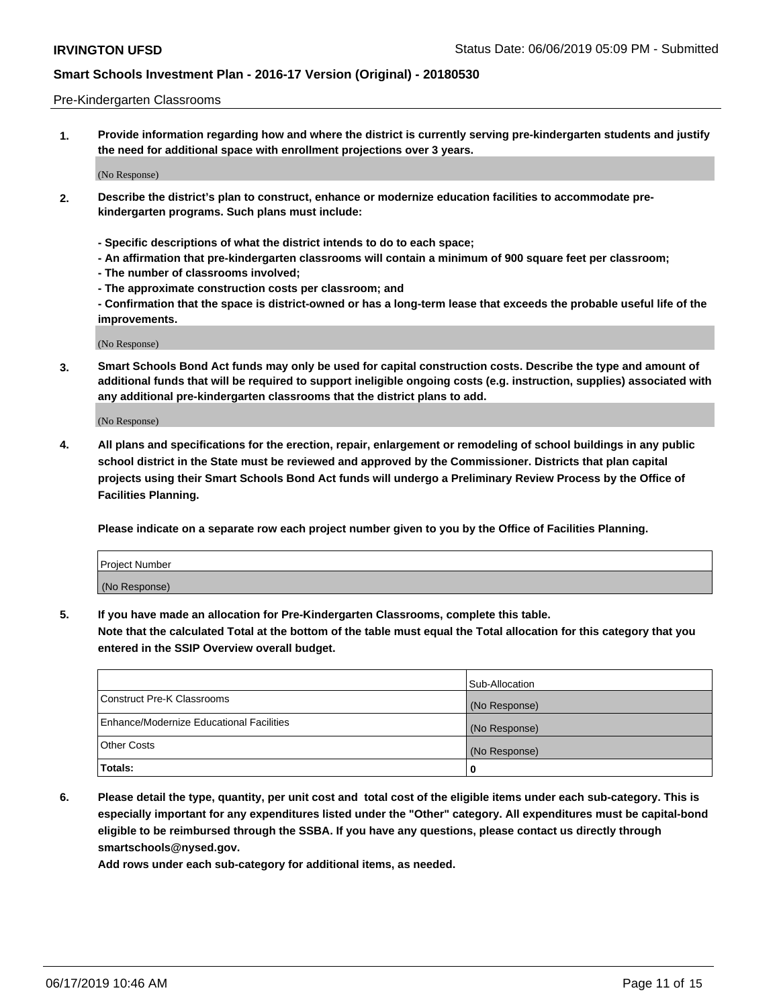#### Pre-Kindergarten Classrooms

**1. Provide information regarding how and where the district is currently serving pre-kindergarten students and justify the need for additional space with enrollment projections over 3 years.**

(No Response)

- **2. Describe the district's plan to construct, enhance or modernize education facilities to accommodate prekindergarten programs. Such plans must include:**
	- **Specific descriptions of what the district intends to do to each space;**
	- **An affirmation that pre-kindergarten classrooms will contain a minimum of 900 square feet per classroom;**
	- **The number of classrooms involved;**
	- **The approximate construction costs per classroom; and**
	- **Confirmation that the space is district-owned or has a long-term lease that exceeds the probable useful life of the improvements.**

(No Response)

**3. Smart Schools Bond Act funds may only be used for capital construction costs. Describe the type and amount of additional funds that will be required to support ineligible ongoing costs (e.g. instruction, supplies) associated with any additional pre-kindergarten classrooms that the district plans to add.**

(No Response)

**4. All plans and specifications for the erection, repair, enlargement or remodeling of school buildings in any public school district in the State must be reviewed and approved by the Commissioner. Districts that plan capital projects using their Smart Schools Bond Act funds will undergo a Preliminary Review Process by the Office of Facilities Planning.**

**Please indicate on a separate row each project number given to you by the Office of Facilities Planning.**

| Project Number |  |
|----------------|--|
| (No Response)  |  |
|                |  |

**5. If you have made an allocation for Pre-Kindergarten Classrooms, complete this table.**

**Note that the calculated Total at the bottom of the table must equal the Total allocation for this category that you entered in the SSIP Overview overall budget.**

|                                          | Sub-Allocation |
|------------------------------------------|----------------|
| Construct Pre-K Classrooms               | (No Response)  |
| Enhance/Modernize Educational Facilities | (No Response)  |
| <b>Other Costs</b>                       | (No Response)  |
| Totals:                                  | 0              |

**6. Please detail the type, quantity, per unit cost and total cost of the eligible items under each sub-category. This is especially important for any expenditures listed under the "Other" category. All expenditures must be capital-bond eligible to be reimbursed through the SSBA. If you have any questions, please contact us directly through smartschools@nysed.gov.**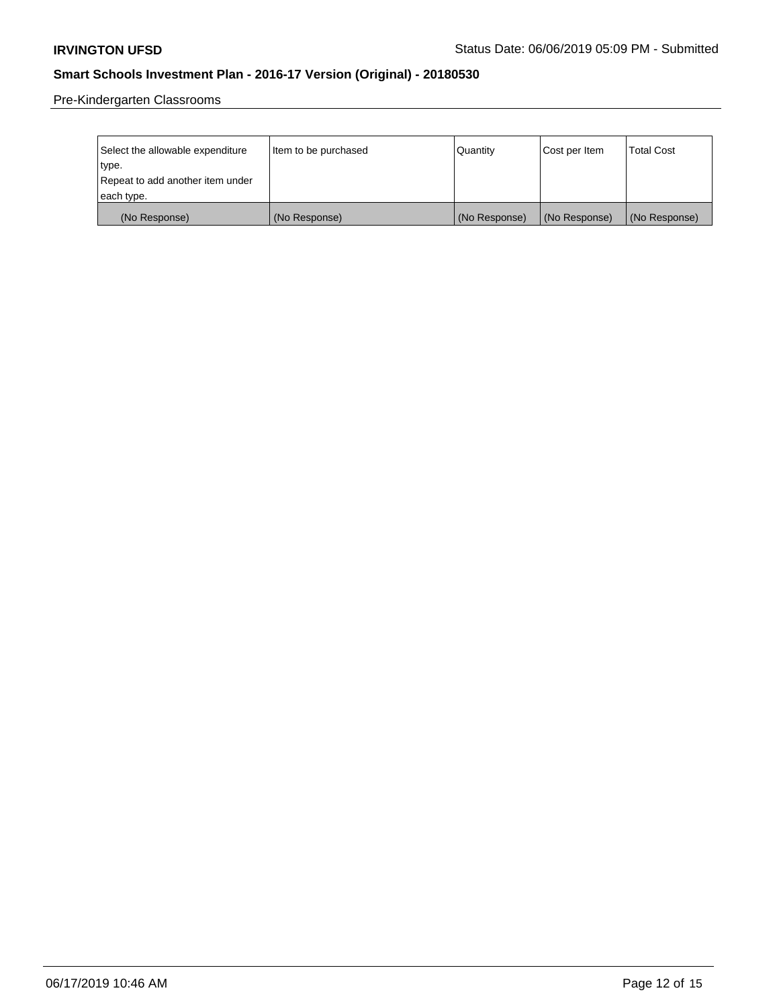Pre-Kindergarten Classrooms

| Select the allowable expenditure | Item to be purchased | Quantity      | Cost per Item | <b>Total Cost</b> |
|----------------------------------|----------------------|---------------|---------------|-------------------|
| type.                            |                      |               |               |                   |
| Repeat to add another item under |                      |               |               |                   |
| each type.                       |                      |               |               |                   |
| (No Response)                    | (No Response)        | (No Response) | (No Response) | (No Response)     |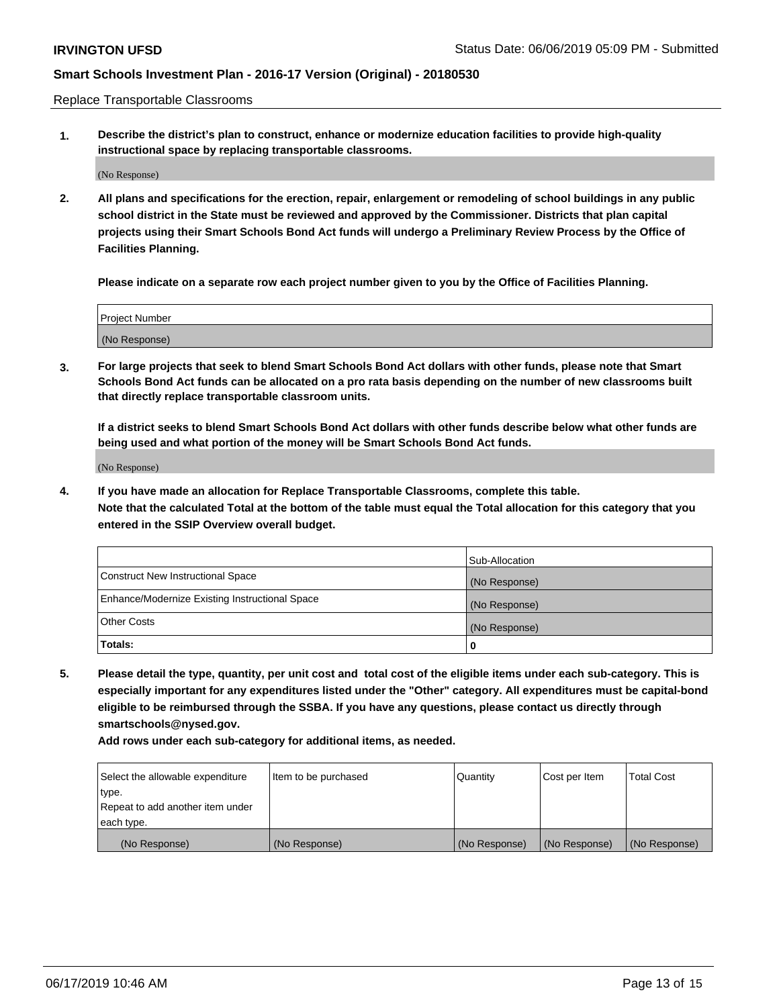Replace Transportable Classrooms

**1. Describe the district's plan to construct, enhance or modernize education facilities to provide high-quality instructional space by replacing transportable classrooms.**

(No Response)

**2. All plans and specifications for the erection, repair, enlargement or remodeling of school buildings in any public school district in the State must be reviewed and approved by the Commissioner. Districts that plan capital projects using their Smart Schools Bond Act funds will undergo a Preliminary Review Process by the Office of Facilities Planning.**

**Please indicate on a separate row each project number given to you by the Office of Facilities Planning.**

| Project Number |  |
|----------------|--|
|                |  |
|                |  |
|                |  |
|                |  |
| (No Response)  |  |
|                |  |
|                |  |
|                |  |

**3. For large projects that seek to blend Smart Schools Bond Act dollars with other funds, please note that Smart Schools Bond Act funds can be allocated on a pro rata basis depending on the number of new classrooms built that directly replace transportable classroom units.**

**If a district seeks to blend Smart Schools Bond Act dollars with other funds describe below what other funds are being used and what portion of the money will be Smart Schools Bond Act funds.**

(No Response)

**4. If you have made an allocation for Replace Transportable Classrooms, complete this table. Note that the calculated Total at the bottom of the table must equal the Total allocation for this category that you entered in the SSIP Overview overall budget.**

|                                                | Sub-Allocation |
|------------------------------------------------|----------------|
| Construct New Instructional Space              | (No Response)  |
| Enhance/Modernize Existing Instructional Space | (No Response)  |
| <b>Other Costs</b>                             | (No Response)  |
| Totals:                                        | 0              |

**5. Please detail the type, quantity, per unit cost and total cost of the eligible items under each sub-category. This is especially important for any expenditures listed under the "Other" category. All expenditures must be capital-bond eligible to be reimbursed through the SSBA. If you have any questions, please contact us directly through smartschools@nysed.gov.**

| Select the allowable expenditure | Item to be purchased | l Quantitv    | Cost per Item | <b>Total Cost</b> |
|----------------------------------|----------------------|---------------|---------------|-------------------|
| type.                            |                      |               |               |                   |
| Repeat to add another item under |                      |               |               |                   |
| each type.                       |                      |               |               |                   |
| (No Response)                    | (No Response)        | (No Response) | (No Response) | (No Response)     |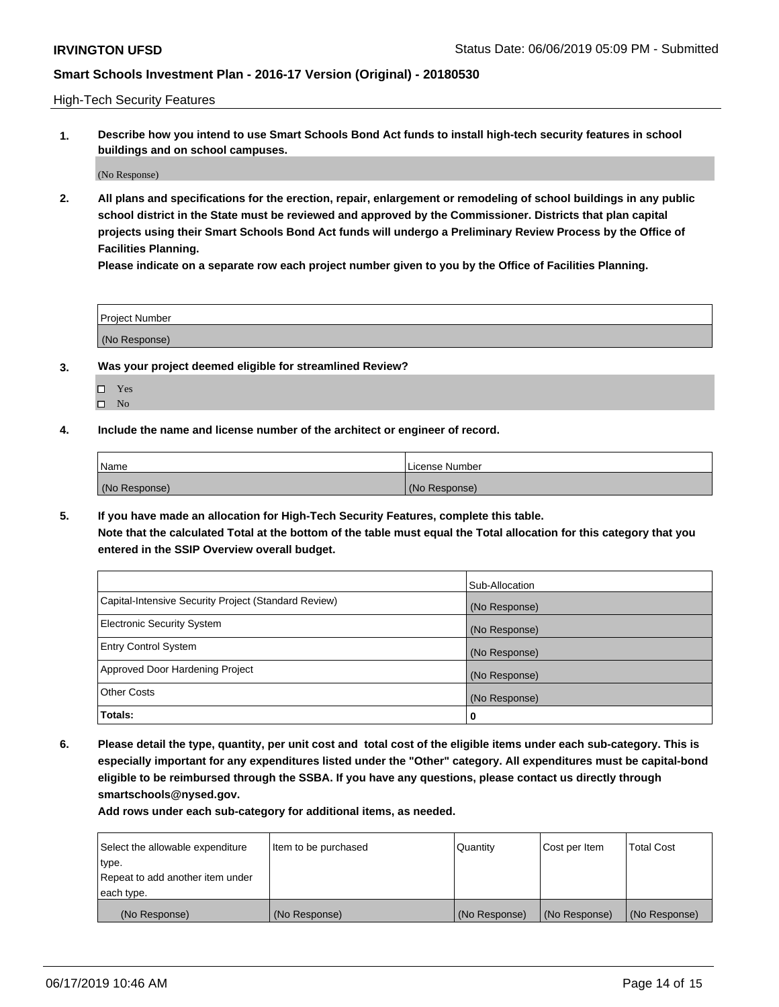High-Tech Security Features

**1. Describe how you intend to use Smart Schools Bond Act funds to install high-tech security features in school buildings and on school campuses.**

(No Response)

**2. All plans and specifications for the erection, repair, enlargement or remodeling of school buildings in any public school district in the State must be reviewed and approved by the Commissioner. Districts that plan capital projects using their Smart Schools Bond Act funds will undergo a Preliminary Review Process by the Office of Facilities Planning.** 

**Please indicate on a separate row each project number given to you by the Office of Facilities Planning.**

| <b>Project Number</b> |  |
|-----------------------|--|
| (No Response)         |  |

- **3. Was your project deemed eligible for streamlined Review?**
	- Yes
	- $\square$  No
- **4. Include the name and license number of the architect or engineer of record.**

| <b>Name</b>   | License Number |
|---------------|----------------|
| (No Response) | (No Response)  |

**5. If you have made an allocation for High-Tech Security Features, complete this table.**

**Note that the calculated Total at the bottom of the table must equal the Total allocation for this category that you entered in the SSIP Overview overall budget.**

|                                                      | Sub-Allocation |
|------------------------------------------------------|----------------|
| Capital-Intensive Security Project (Standard Review) | (No Response)  |
| <b>Electronic Security System</b>                    | (No Response)  |
| <b>Entry Control System</b>                          | (No Response)  |
| Approved Door Hardening Project                      | (No Response)  |
| <b>Other Costs</b>                                   | (No Response)  |
| Totals:                                              | 0              |

**6. Please detail the type, quantity, per unit cost and total cost of the eligible items under each sub-category. This is especially important for any expenditures listed under the "Other" category. All expenditures must be capital-bond eligible to be reimbursed through the SSBA. If you have any questions, please contact us directly through smartschools@nysed.gov.**

| Select the allowable expenditure | Item to be purchased | l Quantitv    | Cost per Item | <b>Total Cost</b> |
|----------------------------------|----------------------|---------------|---------------|-------------------|
| type.                            |                      |               |               |                   |
| Repeat to add another item under |                      |               |               |                   |
| each type.                       |                      |               |               |                   |
| (No Response)                    | (No Response)        | (No Response) | (No Response) | (No Response)     |